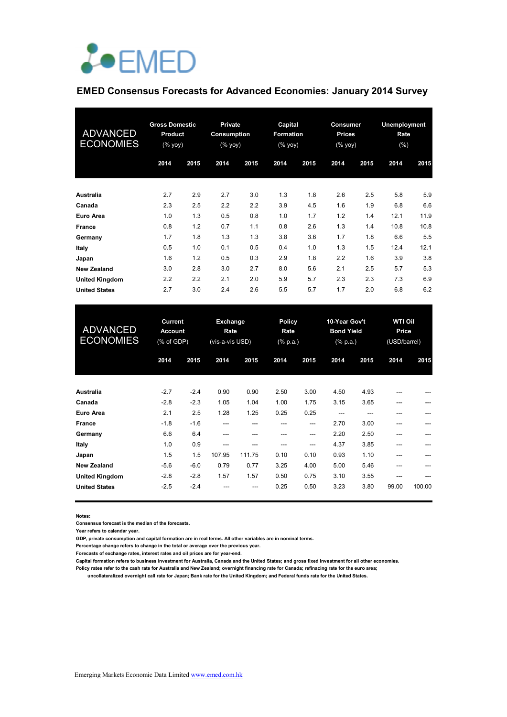

# **EMED Consensus Forecasts for Advanced Economies: January 2014 Survey**

| <b>ADVANCED</b><br><b>ECONOMIES</b> | <b>Gross Domestic</b><br><b>Product</b><br>$(\%$ yoy) |      | <b>Private</b><br>Consumption<br>(% yoy) |      | Capital<br>Formation<br>$(\%$ yoy) |      | <b>Consumer</b><br><b>Prices</b><br>(% yoy) |      | Unemployment<br>Rate<br>(%) |      |
|-------------------------------------|-------------------------------------------------------|------|------------------------------------------|------|------------------------------------|------|---------------------------------------------|------|-----------------------------|------|
|                                     | 2014                                                  | 2015 | 2014                                     | 2015 | 2014                               | 2015 | 2014                                        | 2015 | 2014                        | 2015 |
| Australia                           | 2.7                                                   | 2.9  | 2.7                                      | 3.0  | 1.3                                | 1.8  | 2.6                                         | 2.5  | 5.8                         | 5.9  |
| Canada                              | 2.3                                                   | 2.5  | 2.2                                      | 2.2  | 3.9                                | 4.5  | 1.6                                         | 1.9  | 6.8                         | 6.6  |
| Euro Area                           | 1.0                                                   | 1.3  | 0.5                                      | 0.8  | 1.0                                | 1.7  | 1.2                                         | 1.4  | 12.1                        | 11.9 |
| France                              | 0.8                                                   | 1.2  | 0.7                                      | 1.1  | 0.8                                | 2.6  | 1.3                                         | 1.4  | 10.8                        | 10.8 |
| Germany                             | 1.7                                                   | 1.8  | 1.3                                      | 1.3  | 3.8                                | 3.6  | 1.7                                         | 1.8  | 6.6                         | 5.5  |
| Italy                               | 0.5                                                   | 1.0  | 0.1                                      | 0.5  | 0.4                                | 1.0  | 1.3                                         | 1.5  | 12.4                        | 12.1 |
| Japan                               | 1.6                                                   | 1.2  | 0.5                                      | 0.3  | 2.9                                | 1.8  | 2.2                                         | 1.6  | 3.9                         | 3.8  |
| <b>New Zealand</b>                  | 3.0                                                   | 2.8  | 3.0                                      | 2.7  | 8.0                                | 5.6  | 2.1                                         | 2.5  | 5.7                         | 5.3  |
| <b>United Kingdom</b>               | 2.2                                                   | 2.2  | 2.1                                      | 2.0  | 5.9                                | 5.7  | 2.3                                         | 2.3  | 7.3                         | 6.9  |
| <b>United States</b>                | 2.7                                                   | 3.0  | 2.4                                      | 2.6  | 5.5                                | 5.7  | 1.7                                         | 2.0  | 6.8                         | 6.2  |

| <b>ADVANCED</b><br><b>ECONOMIES</b> | Current<br><b>Account</b><br>(% of GDP) |        | Exchange<br>Rate<br>(vis-a-vis USD) |        | <b>Policy</b><br>Rate<br>$(% \mathbb{R}^2)$ (% p.a.) |       | 10-Year Gov't<br><b>Bond Yield</b><br>(% p.a.) |      | <b>WTI Oil</b><br>Price<br>(USD/barrel) |        |
|-------------------------------------|-----------------------------------------|--------|-------------------------------------|--------|------------------------------------------------------|-------|------------------------------------------------|------|-----------------------------------------|--------|
|                                     | 2014                                    | 2015   | 2014                                | 2015   | 2014                                                 | 2015  | 2014                                           | 2015 | 2014                                    | 2015   |
| Australia                           | $-2.7$                                  | $-2.4$ | 0.90                                | 0.90   | 2.50                                                 | 3.00  | 4.50                                           | 4.93 |                                         |        |
| Canada                              | $-2.8$                                  | $-2.3$ | 1.05                                | 1.04   | 1.00                                                 | 1.75  | 3.15                                           | 3.65 | ---                                     |        |
| Euro Area                           | 2.1                                     | 2.5    | 1.28                                | 1.25   | 0.25                                                 | 0.25  | ---                                            |      |                                         |        |
| France                              | $-1.8$                                  | $-1.6$ | ---                                 | ---    |                                                      | ---   | 2.70                                           | 3.00 |                                         |        |
| Germany                             | 6.6                                     | 6.4    | ---                                 |        |                                                      | ---   | 2.20                                           | 2.50 |                                         |        |
| Italy                               | 1.0                                     | 0.9    | ---                                 |        | ---                                                  | $---$ | 4.37                                           | 3.85 |                                         |        |
| Japan                               | 1.5                                     | 1.5    | 107.95                              | 111.75 | 0.10                                                 | 0.10  | 0.93                                           | 1.10 | ---                                     |        |
| <b>New Zealand</b>                  | $-5.6$                                  | $-6.0$ | 0.79                                | 0.77   | 3.25                                                 | 4.00  | 5.00                                           | 5.46 | ---                                     |        |
| <b>United Kingdom</b>               | $-2.8$                                  | $-2.8$ | 1.57                                | 1.57   | 0.50                                                 | 0.75  | 3.10                                           | 3.55 |                                         |        |
| <b>United States</b>                | $-2.5$                                  | $-2.4$ |                                     | ---    | 0.25                                                 | 0.50  | 3.23                                           | 3.80 | 99.00                                   | 100.00 |

**Notes:** 

**Consensus forecast is the median of the forecasts.**

**Year refers to calendar year.**

**GDP, private consumption and capital formation are in real terms. All other variables are in nominal terms.**

**Percentage change refers to change in the total or average over the previous year.**

**Forecasts of exchange rates, interest rates and oil prices are for year-end.**

**Capital formation refers to business investment for Australia, Canada and the United States; and gross fixed investment for all other economies.**

**Policy rates refer to the cash rate for Australia and New Zealand; overnight financing rate for Canada; refinacing rate for the euro area; uncollateralized overnight call rate for Japan; Bank rate for the United Kingdom; and Federal funds rate for the United States.**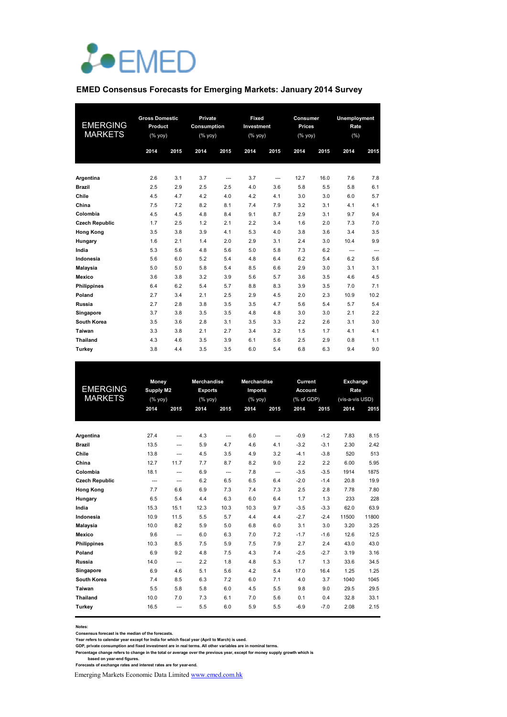

#### **EMED Consensus Forecasts for Emerging Markets: January 2014 Survey**

| <b>EMERGING</b><br><b>MARKETS</b> | <b>Gross Domestic</b><br>Product<br>(% yoy) |      | Private<br><b>Consumption</b><br>(% |      | Fixed<br>Investment<br>$(% \mathsf{Y}^{\prime }\mathsf{Y}^{\prime }\mathsf{Y}^{\prime })$ |      | Consumer<br><b>Prices</b><br>$(% \mathsf{Y}\rightarrow \mathsf{Y})$ |      | <b>Unemployment</b><br>Rate<br>(%) |      |
|-----------------------------------|---------------------------------------------|------|-------------------------------------|------|-------------------------------------------------------------------------------------------|------|---------------------------------------------------------------------|------|------------------------------------|------|
|                                   | 2014                                        | 2015 | 2014                                | 2015 | 2014                                                                                      | 2015 | 2014                                                                | 2015 | 2014                               | 2015 |
|                                   |                                             |      |                                     |      |                                                                                           |      |                                                                     |      |                                    |      |
| Argentina                         | 2.6                                         | 3.1  | 3.7                                 | ---  | 3.7                                                                                       | ---  | 12.7                                                                | 16.0 | 7.6                                | 7.8  |
| <b>Brazil</b>                     | 2.5                                         | 2.9  | 2.5                                 | 2.5  | 4.0                                                                                       | 3.6  | 5.8                                                                 | 5.5  | 5.8                                | 6.1  |
| Chile                             | 4.5                                         | 4.7  | 4.2                                 | 4.0  | 4.2                                                                                       | 4.1  | 3.0                                                                 | 3.0  | 6.0                                | 5.7  |
| China                             | 7.5                                         | 7.2  | 8.2                                 | 8.1  | 7.4                                                                                       | 7.9  | 3.2                                                                 | 3.1  | 4.1                                | 4.1  |
| Colombia                          | 4.5                                         | 4.5  | 4.8                                 | 8.4  | 9.1                                                                                       | 8.7  | 2.9                                                                 | 3.1  | 9.7                                | 9.4  |
| <b>Czech Republic</b>             | 1.7                                         | 2.5  | 1.2                                 | 2.1  | 2.2                                                                                       | 3.4  | 1.6                                                                 | 2.0  | 7.3                                | 7.0  |
| <b>Hong Kong</b>                  | 3.5                                         | 3.8  | 3.9                                 | 4.1  | 5.3                                                                                       | 4.0  | 3.8                                                                 | 3.6  | 3.4                                | 3.5  |
| Hungary                           | 1.6                                         | 2.1  | 1.4                                 | 2.0  | 2.9                                                                                       | 3.1  | 2.4                                                                 | 3.0  | 10.4                               | 9.9  |
| India                             | 5.3                                         | 5.6  | 4.8                                 | 5.6  | 5.0                                                                                       | 5.8  | 7.3                                                                 | 6.2  | ---                                | ---  |
| Indonesia                         | 5.6                                         | 6.0  | 5.2                                 | 5.4  | 4.8                                                                                       | 6.4  | 6.2                                                                 | 5.4  | 6.2                                | 5.6  |
| <b>Malaysia</b>                   | 5.0                                         | 5.0  | 5.8                                 | 5.4  | 8.5                                                                                       | 6.6  | 2.9                                                                 | 3.0  | 3.1                                | 3.1  |
| <b>Mexico</b>                     | 3.6                                         | 3.8  | 3.2                                 | 3.9  | 5.6                                                                                       | 5.7  | 3.6                                                                 | 3.5  | 4.6                                | 4.5  |
| <b>Philippines</b>                | 6.4                                         | 6.2  | 5.4                                 | 5.7  | 8.8                                                                                       | 8.3  | 3.9                                                                 | 3.5  | 7.0                                | 7.1  |
| Poland                            | 2.7                                         | 3.4  | 2.1                                 | 2.5  | 2.9                                                                                       | 4.5  | 2.0                                                                 | 2.3  | 10.9                               | 10.2 |
| Russia                            | 2.7                                         | 2.8  | 3.8                                 | 3.5  | 3.5                                                                                       | 4.7  | 5.6                                                                 | 5.4  | 5.7                                | 5.4  |
| Singapore                         | 3.7                                         | 3.8  | 3.5                                 | 3.5  | 4.8                                                                                       | 4.8  | 3.0                                                                 | 3.0  | 2.1                                | 2.2  |
| South Korea                       | 3.5                                         | 3.6  | 2.8                                 | 3.1  | 3.5                                                                                       | 3.3  | 2.2                                                                 | 2.6  | 3.1                                | 3.0  |
| Taiwan                            | 3.3                                         | 3.8  | 2.1                                 | 2.7  | 3.4                                                                                       | 3.2  | 1.5                                                                 | 1.7  | 4.1                                | 4.1  |
| <b>Thailand</b>                   | 4.3                                         | 4.6  | 3.5                                 | 3.9  | 6.1                                                                                       | 5.6  | 2.5                                                                 | 2.9  | 0.8                                | 1.1  |
| Turkey                            | 3.8                                         | 4.4  | 3.5                                 | 3.5  | 6.0                                                                                       | 5.4  | 6.8                                                                 | 6.3  | 9.4                                | 9.0  |

|                       | Money          |                | Merchandise |                | Merchandise |      | <b>Current</b> |        | Exchange        |       |
|-----------------------|----------------|----------------|-------------|----------------|-------------|------|----------------|--------|-----------------|-------|
| <b>EMERGING</b>       |                | Supply M2      |             | <b>Exports</b> | Imports     |      | <b>Account</b> |        | Rate            |       |
| <b>MARKETS</b>        | $(%$ yoy)      |                | (%          |                | (%          |      | (% of GDP)     |        | (vis-a-vis USD) |       |
|                       | 2014           | 2015           | 2014        | 2015           | 2014        | 2015 | 2014           | 2015   | 2014            | 2015  |
|                       |                |                |             |                |             |      |                |        |                 |       |
| Argentina             | 27.4           | ---            | 4.3         | ---            | 6.0         | ---  | $-0.9$         | $-1.2$ | 7.83            | 8.15  |
| <b>Brazil</b>         | 13.5           | ---            | 5.9         | 4.7            | 4.6         | 4.1  | $-3.2$         | $-3.1$ | 2.30            | 2.42  |
| Chile                 | 13.8           | $\overline{a}$ | 4.5         | 3.5            | 4.9         | 3.2  | $-4.1$         | $-3.8$ | 520             | 513   |
| China                 | 12.7           | 11.7           | 7.7         | 8.7            | 8.2         | 9.0  | 2.2            | 2.2    | 6.00            | 5.95  |
| Colombia              | 18.1           | $\overline{a}$ | 6.9         | ---            | 7.8         | ---  | $-3.5$         | $-3.5$ | 1914            | 1875  |
| <b>Czech Republic</b> | $\overline{a}$ | ---            | 6.2         | 6.5            | 6.5         | 6.4  | $-2.0$         | $-1.4$ | 20.8            | 19.9  |
| <b>Hong Kong</b>      | 7.7            | 6.6            | 6.9         | 7.3            | 7.4         | 7.3  | 2.5            | 2.8    | 7.78            | 7.80  |
| Hungary               | 6.5            | 5.4            | 4.4         | 6.3            | 6.0         | 6.4  | 1.7            | 1.3    | 233             | 228   |
| India                 | 15.3           | 15.1           | 12.3        | 10.3           | 10.3        | 9.7  | $-3.5$         | $-3.3$ | 62.0            | 63.9  |
| Indonesia             | 10.9           | 11.5           | 5.5         | 5.7            | 4.4         | 4.4  | $-2.7$         | $-2.4$ | 11500           | 11800 |
| Malaysia              | 10.0           | 8.2            | 5.9         | 5.0            | 6.8         | 6.0  | 3.1            | 3.0    | 3.20            | 3.25  |
| Mexico                | 9.6            | ---            | 6.0         | 6.3            | 7.0         | 7.2  | $-1.7$         | $-1.6$ | 12.6            | 12.5  |
| <b>Philippines</b>    | 10.3           | 8.5            | 7.5         | 5.9            | 7.5         | 7.9  | 2.7            | 2.4    | 43.0            | 43.0  |
| Poland                | 6.9            | 9.2            | 4.8         | 7.5            | 4.3         | 7.4  | $-2.5$         | $-2.7$ | 3.19            | 3.16  |
| Russia                | 14.0           | $\overline{a}$ | 2.2         | 1.8            | 4.8         | 5.3  | 1.7            | 1.3    | 33.6            | 34.5  |
| Singapore             | 6.9            | 4.6            | 5.1         | 5.6            | 4.2         | 5.4  | 17.0           | 16.4   | 1.25            | 1.25  |
| South Korea           | 7.4            | 8.5            | 6.3         | 7.2            | 6.0         | 7.1  | 4.0            | 3.7    | 1040            | 1045  |
| Taiwan                | 5.5            | 5.8            | 5.8         | 6.0            | 4.5         | 5.5  | 9.8            | 9.0    | 29.5            | 29.5  |
| <b>Thailand</b>       | 10.0           | 7.0            | 7.3         | 6.1            | 7.0         | 5.6  | 0.1            | 0.4    | 32.8            | 33.1  |
| Turkey                | 16.5           | ---            | 5.5         | 6.0            | 5.9         | 5.5  | $-6.9$         | $-7.0$ | 2.08            | 2.15  |
|                       |                |                |             |                |             |      |                |        |                 |       |

**Notes:** 

**Consensus forecast is the median of the forecasts.**

Year refers to calendar year except for India for which fiscal year (April to March) is used.<br>GDP, private consumption and fixed investment are in real terms. All other variables are in nominal terms.<br>Percentage change ref

Emerging Markets Economic Data Limited www.emed.com.hk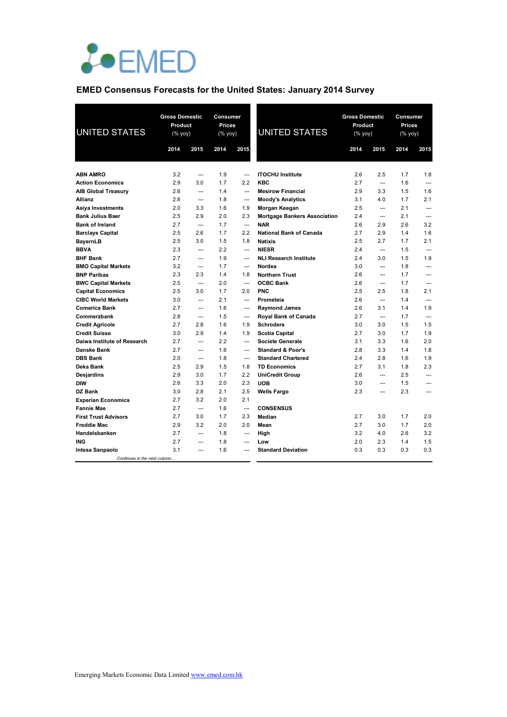

# **EMED Consensus Forecasts for the United States: January 2014 Survey**

| <b>UNITED STATES</b>         | <b>Gross Domestic</b><br>Product<br>(% yoy) |                   | <b>Consumer</b><br><b>Prices</b><br>(% yoy) |                | <b>UNITED STATES</b>                |      | <b>Gross Domestic</b><br>Product<br>$(%$ yoy) |      | Consumer<br>Prices<br>(% yoy) |
|------------------------------|---------------------------------------------|-------------------|---------------------------------------------|----------------|-------------------------------------|------|-----------------------------------------------|------|-------------------------------|
|                              | 2014                                        | 2015              | 2014                                        | 2015           |                                     | 2014 | 2015                                          | 2014 | 2015                          |
|                              |                                             |                   |                                             |                |                                     |      |                                               |      |                               |
| <b>ABN AMRO</b>              | 3.2                                         | $\overline{a}$    | 1.9                                         |                | <b>ITOCHU Institute</b>             | 2.6  | 2.5                                           | 1.7  | 1.8                           |
| <b>Action Economics</b>      | 2.9                                         | 3.0               | 1.7                                         | 2.2            | <b>KBC</b>                          | 2.7  | $\overline{a}$                                | 1.6  | $\sim$                        |
| <b>AIB Global Treasury</b>   | 2.6                                         | $\overline{a}$    | 1.4                                         | $---$          | <b>Mesirow Financial</b>            | 2.9  | 3.3                                           | 1.5  | 1.6                           |
| Allianz                      | 2.6                                         | ---               | 1.8                                         | $---$          | <b>Moody's Analytics</b>            | 3.1  | 4.0                                           | 1.7  | 2.1                           |
| Asiya Investments            | 2.0                                         | 3.3               | 1.6                                         | 1.9            | Morgan Keegan                       | 2.5  | $\overline{\phantom{a}}$                      | 2.1  | $\overline{a}$                |
| <b>Bank Julius Baer</b>      | 2.5                                         | 2.9               | 2.0                                         | 2.3            | <b>Mortgage Bankers Association</b> | 2.4  | $\overline{\phantom{a}}$                      | 2.1  | $\overline{a}$                |
| <b>Bank of Ireland</b>       | 2.7                                         | $\overline{a}$    | 1.7                                         | $\overline{a}$ | <b>NAR</b>                          | 2.6  | 2.9                                           | 2.6  | 3.2                           |
| <b>Barclays Capital</b>      | 2.5                                         | 2.6               | 1.7                                         | 2.2            | National Bank of Canada             | 2.7  | 2.9                                           | 1.4  | 1.6                           |
| <b>BayernLB</b>              | 2.5                                         | 3.0               | 1.5                                         | 1.8            | <b>Natixis</b>                      | 2.5  | 2.7                                           | 1.7  | 2.1                           |
| <b>BBVA</b>                  | 2.3                                         | ---               | 2.2                                         | ---            | <b>NIESR</b>                        | 2.4  | ---                                           | 1.5  | ---                           |
| <b>BHF Bank</b>              | 2.7                                         | ---               | 1.9                                         | $\overline{a}$ | <b>NLI Research Institute</b>       | 2.4  | 3.0                                           | 1.5  | 1.9                           |
| <b>BMO Capital Markets</b>   | 3.2                                         | $\qquad \qquad -$ | 1.7                                         | ---            | Nordea                              | 3.0  | $\overline{a}$                                | 1.8  | $\overline{a}$                |
| <b>BNP Paribas</b>           | 2.3                                         | 2.3               | 1.4                                         | 1.8            | <b>Northern Trust</b>               | 2.6  | $\overline{a}$                                | 1.7  | $\overline{a}$                |
| <b>BWC Capital Markets</b>   | 2.5                                         | ---               | 2.0                                         | ---            | <b>OCBC Bank</b>                    | 2.6  | $\overline{\phantom{a}}$                      | 1.7  | ---                           |
| <b>Capital Economics</b>     | 2.5                                         | 3.0               | 1.7                                         | 2.0            | <b>PNC</b>                          | 2.5  | 2.5                                           | 1.8  | 2.1                           |
| <b>CIBC World Markets</b>    | 3.0                                         | $\overline{a}$    | 2.1                                         | $\overline{a}$ | Prometeia                           | 2.6  | ---                                           | 1.4  | $\overline{a}$                |
| <b>Comerica Bank</b>         | 2.7                                         | $\overline{a}$    | 1.6                                         | $\overline{a}$ | <b>Raymond James</b>                | 2.6  | 3.1                                           | 1.4  | 1.9                           |
| Commerzbank                  | 2.8                                         | ---               | 1.5                                         | ---            | <b>Royal Bank of Canada</b>         | 2.7  | $\overline{\phantom{a}}$                      | 1.7  | $\overline{a}$                |
| <b>Credit Agricole</b>       | 2.7                                         | 2.8               | 1.6                                         | 1.9            | <b>Schroders</b>                    | 3.0  | 3.0                                           | 1.5  | 1.5                           |
| <b>Credit Suisse</b>         | 3.0                                         | 2.9               | 1.4                                         | 1.9            | <b>Scotia Capital</b>               | 2.7  | 3.0                                           | 1.7  | 1.9                           |
| Daiwa Institute of Research  | 2.7                                         | $\overline{a}$    | 2.2                                         | ---            | <b>Societe Generale</b>             | 3.1  | 3.3                                           | 1.6  | 2.0                           |
| Danske Bank                  | 2.7                                         | $\overline{a}$    | 1.6                                         | $\overline{a}$ | <b>Standard &amp; Poor's</b>        | 2.8  | 3.3                                           | 1.4  | 1.8                           |
| <b>DBS Bank</b>              | 2.0                                         | $\overline{a}$    | 1.8                                         | $\overline{a}$ | <b>Standard Chartered</b>           | 2.4  | 2.8                                           | 1.6  | 1.9                           |
| Deka Bank                    | 2.5                                         | 2.9               | 1.5                                         | 1.8            | <b>TD Economics</b>                 | 2.7  | 3.1                                           | 1.8  | 2.3                           |
| <b>Desjardins</b>            | 2.9                                         | 3.0               | 1.7                                         | 2.2            | <b>UniCredit Group</b>              | 2.6  | $\overline{\phantom{a}}$                      | 2.5  | $\overline{a}$                |
| <b>DIW</b>                   | 2.6                                         | 3.3               | 2.0                                         | 2.3            | <b>UOB</b>                          | 3.0  | $---$                                         | 1.5  | $---$                         |
| <b>DZ Bank</b>               | 3.0                                         | 2.8               | 2.1                                         | 2.5            | <b>Wells Fargo</b>                  | 2.3  | $\overline{a}$                                | 2.3  | $---$                         |
| <b>Experian Economics</b>    | 2.7                                         | 3.2               | 2.0                                         | 2.1            |                                     |      |                                               |      |                               |
| <b>Fannie Mae</b>            | 2.7                                         | $\overline{a}$    | 1.6                                         | $\overline{a}$ | <b>CONSENSUS</b>                    |      |                                               |      |                               |
| <b>First Trust Advisors</b>  | 2.7                                         | 3.0               | 1.7                                         | 2.3            | Median                              | 2.7  | 3.0                                           | 1.7  | 2.0                           |
| <b>Freddie Mac</b>           | 2.9                                         | 3.2               | 2.0                                         | 2.0            | Mean                                | 2.7  | 3.0                                           | 1.7  | 2.0                           |
| Handelsbanken                | 2.7                                         | $\overline{a}$    | 1.8                                         | $---$          | High                                | 3.2  | 4.0                                           | 2.6  | 3.2                           |
| <b>ING</b>                   | 2.7                                         | $\overline{a}$    | 1.8                                         | $\overline{a}$ | Low                                 | 2.0  | 2.3                                           | 1.4  | 1.5                           |
| Intesa Sanpaolo              | 3.1                                         | $\overline{a}$    | 1.6                                         | $\overline{a}$ | <b>Standard Deviation</b>           | 0.3  | 0.3                                           | 0.3  | 0.3                           |
| Continues in the next column |                                             |                   |                                             |                |                                     |      |                                               |      |                               |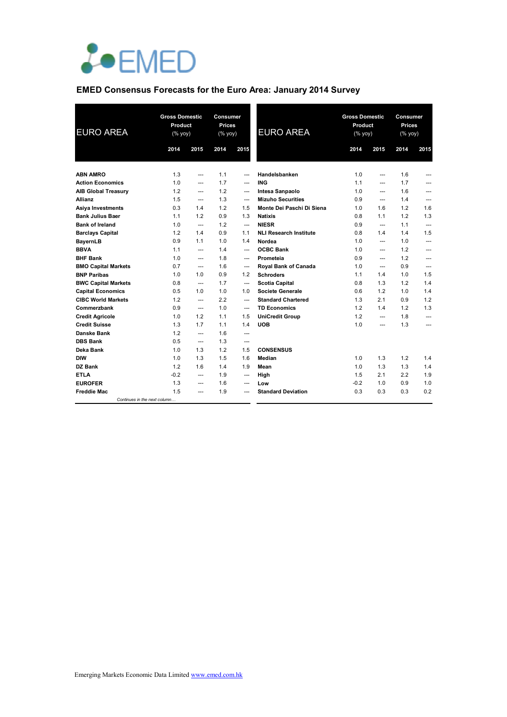

# **EMED Consensus Forecasts for the Euro Area: January 2014 Survey**

| <b>EURO AREA</b>           |                              | <b>Gross Domestic</b><br>Product<br>(% yoy) |      | <b>Consumer</b><br><b>Prices</b><br>(% yoy) | <b>EURO AREA</b>              | <b>Gross Domestic</b><br>Product<br>(% yoy) |                | Consumer<br><b>Prices</b><br>(% yoy) |                |
|----------------------------|------------------------------|---------------------------------------------|------|---------------------------------------------|-------------------------------|---------------------------------------------|----------------|--------------------------------------|----------------|
|                            | 2014                         | 2015                                        | 2014 | 2015                                        |                               | 2014                                        | 2015           | 2014                                 | 2015           |
|                            |                              |                                             |      |                                             |                               |                                             |                |                                      |                |
| <b>ABN AMRO</b>            | 1.3                          | $\overline{a}$                              | 1.1  | $\overline{a}$                              | Handelsbanken                 | 1.0                                         | $\overline{a}$ | 1.6                                  |                |
| <b>Action Economics</b>    | 1.0                          | ---                                         | 1.7  | $---$                                       | <b>ING</b>                    | 1.1                                         | ---            | 1.7                                  | ---            |
| <b>AIB Global Treasury</b> | 1.2                          | ---                                         | 1.2  | ---                                         | Intesa Sanpaolo               | 1.0                                         | $\overline{a}$ | 1.6                                  | ---            |
| Allianz                    | 1.5                          | $\overline{a}$                              | 1.3  | $---$                                       | <b>Mizuho Securities</b>      | 0.9                                         | $\overline{a}$ | 1.4                                  | ---            |
| <b>Asiya Investments</b>   | 0.3                          | 1.4                                         | 1.2  | 1.5                                         | Monte Dei Paschi Di Siena     | 1.0                                         | 1.6            | 1.2                                  | 1.6            |
| <b>Bank Julius Baer</b>    | 1.1                          | 1.2                                         | 0.9  | 1.3                                         | <b>Natixis</b>                | 0.8                                         | 1.1            | 1.2                                  | 1.3            |
| <b>Bank of Ireland</b>     | 1.0                          | $\overline{a}$                              | 1.2  | $\overline{a}$                              | <b>NIESR</b>                  | 0.9                                         | $\overline{a}$ | 1.1                                  | $\overline{a}$ |
| <b>Barclays Capital</b>    | 1.2                          | 1.4                                         | 0.9  | 1.1                                         | <b>NLI Research Institute</b> | 0.8                                         | 1.4            | 1.4                                  | 1.5            |
| <b>BayernLB</b>            | 0.9                          | 1.1                                         | 1.0  | 1.4                                         | Nordea                        | 1.0                                         | $\overline{a}$ | 1.0                                  | ---            |
| <b>BBVA</b>                | 1.1                          | $\overline{a}$                              | 1.4  | $\overline{a}$                              | <b>OCBC Bank</b>              | 1.0                                         | $\overline{a}$ | 1.2                                  | ---            |
| <b>BHF Bank</b>            | 1.0                          | ---                                         | 1.8  | ---                                         | Prometeia                     | 0.9                                         | ---            | 1.2                                  | ---            |
| <b>BMO Capital Markets</b> | 0.7                          | ---                                         | 1.6  | ---                                         | Royal Bank of Canada          | 1.0                                         | $- - -$        | 0.9                                  | ---            |
| <b>BNP Paribas</b>         | 1.0                          | 1.0                                         | 0.9  | 1.2                                         | <b>Schroders</b>              | 1.1                                         | 1.4            | 1.0                                  | 1.5            |
| <b>BWC Capital Markets</b> | 0.8                          | $\overline{a}$                              | 1.7  | $\overline{a}$                              | <b>Scotia Capital</b>         | 0.8                                         | 1.3            | 1.2                                  | 1.4            |
| <b>Capital Economics</b>   | 0.5                          | 1.0                                         | 1.0  | 1.0                                         | Societe Generale              | 0.6                                         | 1.2            | 1.0                                  | 1.4            |
| <b>CIBC World Markets</b>  | 1.2                          | $\overline{a}$                              | 2.2  | $\overline{a}$                              | <b>Standard Chartered</b>     | 1.3                                         | 2.1            | 0.9                                  | 1.2            |
| Commerzbank                | 0.9                          | $\overline{a}$                              | 1.0  | ---                                         | <b>TD Economics</b>           | 1.2                                         | 1.4            | 1.2                                  | 1.3            |
| <b>Credit Agricole</b>     | 1.0                          | 1.2                                         | 1.1  | 1.5                                         | <b>UniCredit Group</b>        | 1.2                                         | ---            | 1.8                                  | ---            |
| <b>Credit Suisse</b>       | 1.3                          | 1.7                                         | 1.1  | 1.4                                         | <b>UOB</b>                    | 1.0                                         | $\overline{a}$ | 1.3                                  | $\overline{a}$ |
| Danske Bank                | 1.2                          | $\overline{a}$                              | 1.6  | ---                                         |                               |                                             |                |                                      |                |
| <b>DBS Bank</b>            | 0.5                          | ---                                         | 1.3  | ---                                         |                               |                                             |                |                                      |                |
| Deka Bank                  | 1.0                          | 1.3                                         | 1.2  | 1.5                                         | <b>CONSENSUS</b>              |                                             |                |                                      |                |
| <b>DIW</b>                 | 1.0                          | 1.3                                         | 1.5  | 1.6                                         | Median                        | 1.0                                         | 1.3            | 1.2                                  | 1.4            |
| DZ Bank                    | 1.2                          | 1.6                                         | 1.4  | 1.9                                         | Mean                          | 1.0                                         | 1.3            | 1.3                                  | 1.4            |
| <b>ETLA</b>                | $-0.2$                       | ---                                         | 1.9  | ---                                         | High                          | 1.5                                         | 2.1            | 2.2                                  | 1.9            |
| <b>EUROFER</b>             | 1.3                          | $---$                                       | 1.6  | $---$                                       | Low                           | $-0.2$                                      | 1.0            | 0.9                                  | 1.0            |
| <b>Freddie Mac</b>         | 1.5                          | ---                                         | 1.9  |                                             | <b>Standard Deviation</b>     | 0.3                                         | 0.3            | 0.3                                  | 0.2            |
|                            | Continues in the next column |                                             |      |                                             |                               |                                             |                |                                      |                |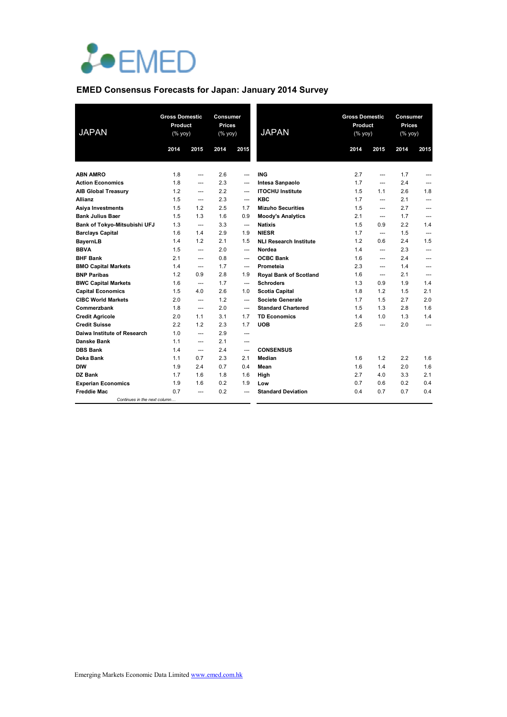

# **EMED Consensus Forecasts for Japan: January 2014 Survey**

| <b>JAPAN</b>                 | <b>Gross Domestic</b><br>Product<br>$(% \mathsf{Y}^{\prime }\mathsf{Y}^{\prime }\mathsf{Y}^{\prime })$ |                   | <b>Consumer</b><br><b>Prices</b><br>(% yoy) |                | <b>JAPAN</b>                  | <b>Gross Domestic</b><br>Product<br>$(% \mathsf{A}\rightarrow \mathsf{A})$ (% yoy) |                          | Consumer<br><b>Prices</b><br>(% yoy) |                   |
|------------------------------|--------------------------------------------------------------------------------------------------------|-------------------|---------------------------------------------|----------------|-------------------------------|------------------------------------------------------------------------------------|--------------------------|--------------------------------------|-------------------|
|                              | 2014                                                                                                   | 2015              | 2014                                        | 2015           |                               | 2014                                                                               | 2015                     | 2014                                 | 2015              |
|                              |                                                                                                        |                   |                                             |                |                               |                                                                                    |                          |                                      |                   |
| <b>ABN AMRO</b>              | 1.8                                                                                                    | ---               | 2.6                                         |                | <b>ING</b>                    | 2.7                                                                                | $\overline{a}$           | 1.7                                  |                   |
| <b>Action Economics</b>      | 1.8                                                                                                    | $\overline{a}$    | 2.3                                         | ---            | Intesa Sanpaolo               | 1.7                                                                                | $\overline{a}$           | 2.4                                  | ---               |
| <b>AIB Global Treasury</b>   | 1.2                                                                                                    | $\overline{a}$    | 2.2                                         | ---            | <b>ITOCHU Institute</b>       | 1.5                                                                                | 1.1                      | 2.6                                  | 1.8               |
| <b>Allianz</b>               | 1.5                                                                                                    | $---$             | 2.3                                         | $---$          | <b>KBC</b>                    | 1.7                                                                                | $\overline{a}$           | 2.1                                  | ---               |
| Asiya Investments            | 1.5                                                                                                    | 1.2               | 2.5                                         | 1.7            | <b>Mizuho Securities</b>      | 1.5                                                                                | $\overline{a}$           | 2.7                                  | ---               |
| <b>Bank Julius Baer</b>      | 1.5                                                                                                    | 1.3               | 1.6                                         | 0.9            | <b>Moody's Analytics</b>      | 2.1                                                                                | $- - -$                  | 1.7                                  | ---               |
| Bank of Tokyo-Mitsubishi UFJ | 1.3                                                                                                    | $---$             | 3.3                                         | $---$          | <b>Natixis</b>                | 1.5                                                                                | 0.9                      | 2.2                                  | 1.4               |
| <b>Barclays Capital</b>      | 1.6                                                                                                    | 1.4               | 2.9                                         | 1.9            | <b>NIESR</b>                  | 1.7                                                                                | $- - -$                  | 1.5                                  | ---               |
| <b>BayernLB</b>              | 1.4                                                                                                    | 1.2               | 2.1                                         | 1.5            | <b>NLI Research Institute</b> | 1.2                                                                                | 0.6                      | 2.4                                  | 1.5               |
| <b>BBVA</b>                  | 1.5                                                                                                    | $\qquad \qquad -$ | 2.0                                         | ---            | Nordea                        | 1.4                                                                                | $\overline{\phantom{a}}$ | 2.3                                  | ---               |
| <b>BHF Bank</b>              | 2.1                                                                                                    | $\overline{a}$    | 0.8                                         | ---            | <b>OCBC Bank</b>              | 1.6                                                                                | $\overline{a}$           | 2.4                                  | ---               |
| <b>BMO Capital Markets</b>   | 1.4                                                                                                    | $---$             | 1.7                                         | ---            | Prometeia                     | 2.3                                                                                | $\overline{\phantom{a}}$ | 1.4                                  | ---               |
| <b>BNP Paribas</b>           | 1.2                                                                                                    | 0.9               | 2.8                                         | 1.9            | <b>Royal Bank of Scotland</b> | 1.6                                                                                | $\overline{a}$           | 2.1                                  | ---               |
| <b>BWC Capital Markets</b>   | 1.6                                                                                                    | $\overline{a}$    | 1.7                                         | ---            | <b>Schroders</b>              | 1.3                                                                                | 0.9                      | 1.9                                  | 1.4               |
| <b>Capital Economics</b>     | 1.5                                                                                                    | 4.0               | 2.6                                         | 1.0            | <b>Scotia Capital</b>         | 1.8                                                                                | 1.2                      | 1.5                                  | 2.1               |
| <b>CIBC World Markets</b>    | 2.0                                                                                                    | $\overline{a}$    | 1.2                                         | $\overline{a}$ | <b>Societe Generale</b>       | 1.7                                                                                | 1.5                      | 2.7                                  | 2.0               |
| Commerzbank                  | 1.8                                                                                                    | $---$             | 2.0                                         | $\overline{a}$ | <b>Standard Chartered</b>     | 1.5                                                                                | 1.3                      | 2.8                                  | 1.6               |
| <b>Credit Agricole</b>       | 2.0                                                                                                    | 1.1               | 3.1                                         | 1.7            | <b>TD Economics</b>           | 1.4                                                                                | 1.0                      | 1.3                                  | 1.4               |
| <b>Credit Suisse</b>         | 2.2                                                                                                    | 1.2               | 2.3                                         | 1.7            | <b>UOB</b>                    | 2.5                                                                                | $\overline{a}$           | 2.0                                  | $\qquad \qquad -$ |
| Daiwa Institute of Research  | 1.0                                                                                                    | $\qquad \qquad -$ | 2.9                                         | ---            |                               |                                                                                    |                          |                                      |                   |
| Danske Bank                  | 1.1                                                                                                    | ---               | 2.1                                         | ---            |                               |                                                                                    |                          |                                      |                   |
| <b>DBS Bank</b>              | 1.4                                                                                                    | $\overline{a}$    | 2.4                                         | ---            | <b>CONSENSUS</b>              |                                                                                    |                          |                                      |                   |
| Deka Bank                    | 1.1                                                                                                    | 0.7               | 2.3                                         | 2.1            | Median                        | 1.6                                                                                | 1.2                      | 2.2                                  | 1.6               |
| <b>DIW</b>                   | 1.9                                                                                                    | 2.4               | 0.7                                         | 0.4            | Mean                          | 1.6                                                                                | 1.4                      | 2.0                                  | 1.6               |
| <b>DZ Bank</b>               | 1.7                                                                                                    | 1.6               | 1.8                                         | 1.6            | High                          | 2.7                                                                                | 4.0                      | 3.3                                  | 2.1               |
| <b>Experian Economics</b>    | 1.9                                                                                                    | 1.6               | 0.2                                         | 1.9            | Low                           | 0.7                                                                                | 0.6                      | 0.2                                  | 0.4               |
| <b>Freddie Mac</b>           | 0.7                                                                                                    | ---               | 0.2                                         |                | <b>Standard Deviation</b>     | 0.4                                                                                | 0.7                      | 0.7                                  | 0.4               |
| Continues in the next column |                                                                                                        |                   |                                             |                |                               |                                                                                    |                          |                                      |                   |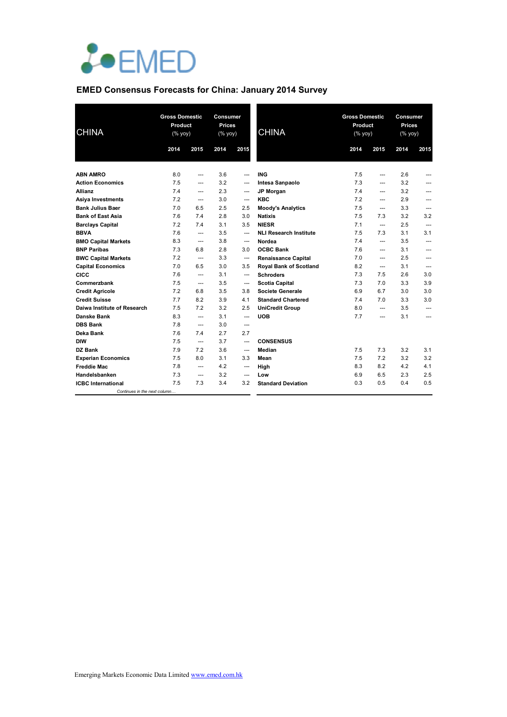

# **EMED Consensus Forecasts for China: January 2014 Survey**

| <b>CHINA</b>                 | <b>Gross Domestic</b><br>Product<br>(% yoy) |                | <b>Consumer</b><br><b>Prices</b><br>(% yoy) |                          | <b>CHINA</b>                  | <b>Gross Domestic</b><br>Product<br>(% yoy) |                          | <b>Consumer</b><br><b>Prices</b><br>(% yoy) |                |
|------------------------------|---------------------------------------------|----------------|---------------------------------------------|--------------------------|-------------------------------|---------------------------------------------|--------------------------|---------------------------------------------|----------------|
|                              | 2014                                        | 2015           | 2014                                        | 2015                     |                               | 2014                                        | 2015                     | 2014                                        | 2015           |
|                              |                                             |                |                                             |                          |                               |                                             |                          |                                             |                |
| <b>ABN AMRO</b>              | 8.0                                         | ---            | 3.6                                         | $\overline{a}$           | <b>ING</b>                    | 7.5                                         | $\overline{a}$           | 2.6                                         | ---            |
| <b>Action Economics</b>      | 7.5                                         | ---            | 3.2                                         | ---                      | Intesa Sanpaolo               | 7.3                                         | $\overline{a}$           | 3.2                                         | ---            |
| Allianz                      | 7.4                                         | $---$          | 2.3                                         | ---                      | <b>JP Morgan</b>              | 7.4                                         | $\overline{\phantom{a}}$ | 3.2                                         | ---            |
| Asiya Investments            | 7.2                                         | ---            | 3.0                                         | ---                      | <b>KBC</b>                    | 7.2                                         | $---$                    | 2.9                                         | ---            |
| <b>Bank Julius Baer</b>      | 7.0                                         | 6.5            | 2.5                                         | 2.5                      | <b>Moody's Analytics</b>      | 7.5                                         | $\overline{a}$           | 3.3                                         | $\overline{a}$ |
| <b>Bank of East Asia</b>     | 7.6                                         | 7.4            | 2.8                                         | 3.0                      | <b>Natixis</b>                | 7.5                                         | 7.3                      | 3.2                                         | 3.2            |
| <b>Barclays Capital</b>      | 7.2                                         | 7.4            | 3.1                                         | 3.5                      | <b>NIESR</b>                  | 7.1                                         | $\overline{a}$           | 2.5                                         | ---            |
| <b>BBVA</b>                  | 7.6                                         | $\overline{a}$ | 3.5                                         | ---                      | <b>NLI Research Institute</b> | 7.5                                         | 7.3                      | 3.1                                         | 3.1            |
| <b>BMO Capital Markets</b>   | 8.3                                         | ---            | 3.8                                         | ---                      | Nordea                        | 7.4                                         | ---                      | 3.5                                         | ---            |
| <b>BNP Paribas</b>           | 7.3                                         | 6.8            | 2.8                                         | 3.0                      | <b>OCBC Bank</b>              | 7.6                                         | ---                      | 3.1                                         | ---            |
| <b>BWC Capital Markets</b>   | 7.2                                         | $---$          | 3.3                                         | ---                      | <b>Renaissance Capital</b>    | 7.0                                         | ---                      | 2.5                                         | ---            |
| <b>Capital Economics</b>     | 7.0                                         | 6.5            | 3.0                                         | 3.5                      | Royal Bank of Scotland        | 8.2                                         | $\overline{a}$           | 3.1                                         | ---            |
| <b>CICC</b>                  | 7.6                                         | $\overline{a}$ | 3.1                                         | $\overline{a}$           | <b>Schroders</b>              | 7.3                                         | 7.5                      | 2.6                                         | 3.0            |
| Commerzbank                  | 7.5                                         | ---            | 3.5                                         | ---                      | <b>Scotia Capital</b>         | 7.3                                         | 7.0                      | 3.3                                         | 3.9            |
| <b>Credit Agricole</b>       | 7.2                                         | 6.8            | 3.5                                         | 3.8                      | <b>Societe Generale</b>       | 6.9                                         | 6.7                      | 3.0                                         | 3.0            |
| <b>Credit Suisse</b>         | 7.7                                         | 8.2            | 3.9                                         | 4.1                      | <b>Standard Chartered</b>     | 7.4                                         | 7.0                      | 3.3                                         | 3.0            |
| Daiwa Institute of Research  | 7.5                                         | 7.2            | 3.2                                         | 2.5                      | <b>UniCredit Group</b>        | 8.0                                         | $\overline{a}$           | 3.5                                         | ---            |
| <b>Danske Bank</b>           | 8.3                                         | $\overline{a}$ | 3.1                                         | $\overline{a}$           | <b>UOB</b>                    | 7.7                                         | $---$                    | 3.1                                         | ---            |
| <b>DBS Bank</b>              | 7.8                                         | ---            | 3.0                                         | $\overline{a}$           |                               |                                             |                          |                                             |                |
| Deka Bank                    | 7.6                                         | 7.4            | 2.7                                         | 2.7                      |                               |                                             |                          |                                             |                |
| <b>DIW</b>                   | 7.5                                         | $---$          | 3.7                                         | ---                      | <b>CONSENSUS</b>              |                                             |                          |                                             |                |
| DZ Bank                      | 7.9                                         | 7.2            | 3.6                                         | $\hspace{0.05cm} \ldots$ | Median                        | 7.5                                         | 7.3                      | 3.2                                         | 3.1            |
| <b>Experian Economics</b>    | 7.5                                         | 8.0            | 3.1                                         | 3.3                      | Mean                          | 7.5                                         | 7.2                      | 3.2                                         | 3.2            |
| <b>Freddie Mac</b>           | 7.8                                         | $\overline{a}$ | 4.2                                         | ---                      | High                          | 8.3                                         | 8.2                      | 4.2                                         | 4.1            |
| Handelsbanken                | 7.3                                         | $\overline{a}$ | 3.2                                         | ---                      | Low                           | 6.9                                         | 6.5                      | 2.3                                         | 2.5            |
| <b>ICBC</b> International    | 7.5                                         | 7.3            | 3.4                                         | 3.2                      | <b>Standard Deviation</b>     | 0.3                                         | 0.5                      | 0.4                                         | 0.5            |
| Continues in the next column |                                             |                |                                             |                          |                               |                                             |                          |                                             |                |